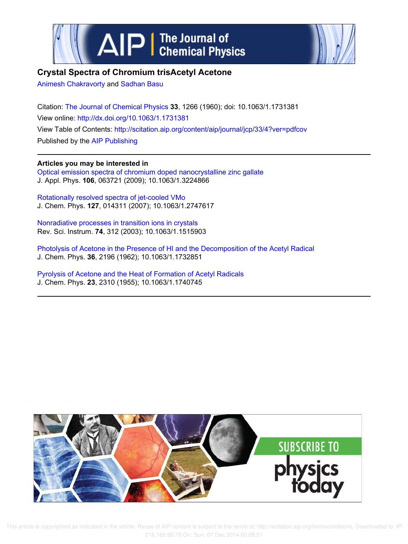



# **Crystal Spectra of Chromium trisAcetyl Acetone**

Animesh Chakravorty and Sadhan Basu

Citation: The Journal of Chemical Physics **33**, 1266 (1960); doi: 10.1063/1.1731381 View online: http://dx.doi.org/10.1063/1.1731381 View Table of Contents: http://scitation.aip.org/content/aip/journal/jcp/33/4?ver=pdfcov Published by the AIP Publishing

**Articles you may be interested in** Optical emission spectra of chromium doped nanocrystalline zinc gallate J. Appl. Phys. **106**, 063721 (2009); 10.1063/1.3224866

Rotationally resolved spectra of jet-cooled VMo J. Chem. Phys. **127**, 014311 (2007); 10.1063/1.2747617

Nonradiative processes in transition ions in crystals Rev. Sci. Instrum. **74**, 312 (2003); 10.1063/1.1515903

Photolysis of Acetone in the Presence of HI and the Decomposition of the Acetyl Radical J. Chem. Phys. **36**, 2196 (1962); 10.1063/1.1732851

Pyrolysis of Acetone and the Heat of Formation of Acetyl Radicals J. Chem. Phys. **23**, 2310 (1955); 10.1063/1.1740745



 This article is copyrighted as indicated in the article. Reuse of AIP content is subject to the terms at: http://scitation.aip.org/termsconditions. Downloaded to IP: 216.165.95.79 On: Sun, 07 Dec 2014 00:08:51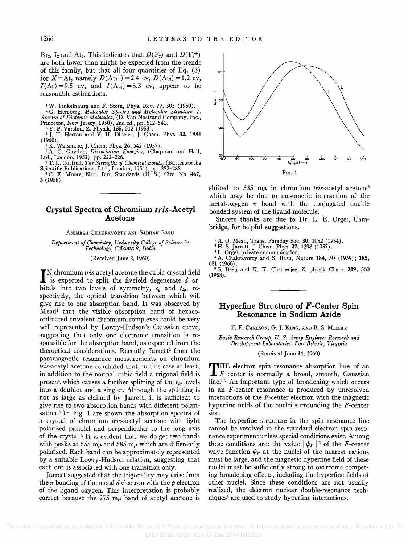Br<sub>2</sub>, I<sub>2</sub> and At<sub>2</sub>. This indicates that  $D(F_2)$  and  $D(F_2^+)$ are both lower than might be expected from the trends of this family, but that all four quantities of Eq. (3) for *X* = At, namely *D*(At<sub>2</sub><sup>+</sup>) = 2.4 ev, *D*(At<sub>2</sub>) = 1.2 ev,  $I(At) = 9.5$  ev, and  $I(At_2) = 8.3$  ev, appear to be reasonable estimations.

<sup>1</sup>W. Finkelnburg and F. Stern, Phys. Rev. 77, 303 (1950). <sup>2</sup>G. Herzberg, *Molecular Spectra and Molecular Structure. I. Spectra of Diatomic Molecules,* (D. Van Nostrand Company, Inc.,

Princeton, New Jersey, 1950), 2nd ed., pp. 512–541.<br>
<sup>3</sup> Y. P. Varshni, Z. Physik, 135, 512 (1953).<br>
<sup>4</sup> J. T. Herron and V. H. Dibeler, J. Chem. Phys. 3**2,** 1884 (1960).

<sup>6</sup>K. Watanabe, J. Chern. Phys. 26, 542 (1957). <sup>6</sup>A. G. Gaydon, *Dissociation Energies,* (Chapman and Hall, Ltd., London, 1953), pp. 222-226. <sup>7</sup>T. L. Cottrell, *The Strengths of Chemical Bonds,* (Butterworths

Scientific Publications, Ltd., London, 1954), pp. 282-288.

<sup>8</sup>C. E. Moore, Nat!. Bur. Standards (U. S.) Circ. No. 467, 3 (1958).

## **Crystal Spectra of Chromium** *tris-Acetyl*  **Acetone**

#### ANIMESH CHAKRAVORTY AND SADHAN BASU

*Department of Chemistry, University College of Science* &' *Technology, Calcutta* 9, *India* 

(Received June 2, 1960)

 $\prod$ N chromium *tris*-acetyl acetone the cubic crystal field is expected to split the fivefold degenerate  $d$  oris expected to split the fivefold degenerate  $d$  orbitals into two levels of symmetry,  $e_g$  and  $t_{2g}$ , respectively, the optical transition between which will give rise to one absorption band. It was observed by Meadl that the visible absorption band of hexacoordinated trivalent chromium complexes could be very well represented by Lowry-Hudson's Gaussian curve, suggesting that only one electronic transition is responsible for the absorption band, as expected from the theoretical considerations. Recently Jarrett<sup>2</sup> from the paramagnetic resonance measurements on chromium *tris-acetyl* acetone concluded that, in this case at least, in addition to the normal cubic field a trigonal field is present which causes a further splitting of the  $t_{2g}$  levels into a doublet and a singlet. Although the splitting is not as large as claimed by Jarrett, it is sufficient to give rise to two absorption bands with different polarisation.3 In Fig. 1 are shown the absorption spectra of a crystal of chromium tris-acetyl acetone with light polarized parallel and perpendicular to the long axis of the crysta1.4 It is evident that we do get two bands with peaks at 555 m $\mu$  and 585 m $\mu$  which are differently polarized. Each band can be approximately represented by a suitable Lowry-Hudson relation, suggesting that each one is associated with one transition only.

Jarrett suggested that the trigonality may arise from the  $\pi$  bonding of the metal d electron with the  $p$  electron of the ligand oxygen. This interpretation is probably correct because the 275  $m\mu$  band of acetyl acetone is



shifted to 335  $m\mu$  in chromium *tris-acetyl* acetone<sup>5</sup> which may be due to mesomeric interaction of the metal-oxygen  $\pi$  bond with the conjugated double bonded system of the ligand molecule.

Sincere thanks are due to Dr. L. E. Orgel, Cambridge, for helpful suggestions.

<sup>1</sup> A. O. Mead, Trans. Faraday Soc. **30,** 1052 (1934).<br><sup>2</sup> H. S. Jarrett, J. Chem. Phys. **27,** 1298 (1957).

<sup>3</sup>L. Orgel, private communication.

<sup>4</sup>A. Chakravorty and S. Basu, Nature 184, 50 (1959); 185, 681 (1960).

<sup>5</sup> S. Basu and K. K. Chatterjee, Z. physik Chem. 209, 360 (1958).

#### **Hyperfine Structure of F -Center Spin Resonance in Sodium Azide**

F. F. CARLSON, G. J. KING, AND B. S. MILLER

*Basic Research Group, U. S. Army Engineer Research and Development Laboratories, Fort Belvoir, Virginia* 

#### (Received June 14, 1960)

THE electron spin resonance absorption line of an  $F$  center is normally a broad, smooth, Gaussian THE electron spin resonance absorption line of an line.<sup>1,2</sup> An important type of broadening which occurs in an F-center resonance is produced by unresolved interactions of the *F-center* electron with the magnetic hyperfine fields of the nuclei surrounding the *F* -center site.

The hyperfine structure in the spin resonance line cannot be resolved in the standard electron spin resonance experiment unless special conditions exist. Among these conditions are: the value  $|\psi_F|^2$  of the *F*-center wave function  $\psi_F$  at the nuclei of the nearest cations must be large, and the magnetic hyperfine field of these nuclei must be sufficiently strong to overcome competing broadening effects, including the hyperfine fields of other nuclei. Since these conditions are not usually realized, the electron nuclear double-resonance techniques<sup>3</sup> are used to study hyperfine interactions.